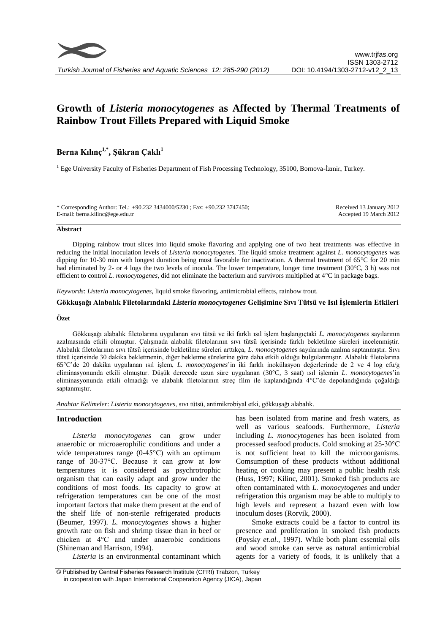

# **Growth of** *Listeria monocytogenes* **as Affected by Thermal Treatments of Rainbow Trout Fillets Prepared with Liquid Smoke**

## **Berna Kılınç1,\* , Şükran Çaklı<sup>1</sup>**

<sup>1</sup> Ege University Faculty of Fisheries Department of Fish Processing Technology, 35100, Bornova-İzmir, Turkey.

\* Corresponding Author: Tel.: +90.232 3434000/5230 ; Fax: +90.232 3747450; E-mail: berna.kilinc@ege.edu.tr

Received 13 January 2012 Accepted 19 March 2012

## **Abstract**

Dipping rainbow trout slices into liquid smoke flavoring and applying one of two heat treatments was effective in reducing the initial inoculation levels of *Listeria monocytogenes.* The liquid smoke treatment against *L. monocytogenes* was dipping for 10-30 min with longest duration being most favorable for inactivation. A thermal treatment of 65°C for 20 min had eliminated by 2- or 4 logs the two levels of inocula. The lower temperature, longer time treatment (30°C, 3 h) was not efficient to control *L. monocytogenes*, did not eliminate the bacterium and survivors multiplied at 4°C in package bags.

*Keywords*: *Listeria monocytogenes*, liquid smoke flavoring, antimicrobial effects, rainbow trout.

## **Gökkuşağı Alabalık Filetolarındaki** *Listeria monocytogenes* **Gelişimine Sıvı Tütsü ve Isıl İşlemlerin Etkileri**

## **Özet**

Gökkuşağı alabalık filetolarına uygulanan sıvı tütsü ve iki farklı ısıl işlem başlangıçtaki *L. monocytogenes* sayılarının azalmasında etkili olmuştur. Çalışmada alabalık filetolarının sıvı tütsü içerisinde farklı bekletilme süreleri incelenmiştir. Alabalık filetolarının sıvı tütsü içerisinde bekletilme süreleri arttıkça, *L. monocytogenes* sayılarında azalma saptanmıştır. Sıvı tütsü içerisinde 30 dakika bekletmenin, diğer bekletme sürelerine göre daha etkili olduğu bulgulanmıştır. Alabalık filetolarına 65°C'de 20 dakika uygulanan ısıl işlem, *L. monocytogenes*'in iki farklı inokülasyon değerlerinde de 2 ve 4 log cfu/g eliminasyonunda etkili olmuştur. Düşük derecede uzun süre uygulanan (30°C, 3 saat) ısıl işlemin *L. monocytogenes*'in eliminasyonunda etkili olmadığı ve alabalık filetolarının streç film ile kaplandığında 4°C'de depolandığında çoğaldığı saptanmıştır.

*Anahtar Kelimeler*: *Listeria monocytogenes*, sıvı tütsü, antimikrobiyal etki, gökkuşağı alabalık.

## **Introduction**

*Listeria monocytogenes* can grow under anaerobic or microaerophilic conditions and under a wide temperatures range (0-45°C) with an optimum range of 30-37°C. Because it can grow at low temperatures it is considered as psychrotrophic organism that can easily adapt and grow under the conditions of most foods. Its capacity to grow at refrigeration temperatures can be one of the most important factors that make them present at the end of the shelf life of non-sterile refrigerated products (Beumer, 1997). *L. monocytogenes* shows a higher growth rate on fish and shrimp tissue than in beef or chicken at 4°C and under anaerobic conditions (Shineman and Harrison, 1994).

*Listeria* is an environmental contaminant which

has been isolated from marine and fresh waters, as well as various seafoods. Furthermore, *Listeria* including *L. monocytogenes* has been isolated from processed seafood products. Cold smoking at 25-30°C is not sufficient heat to kill the microorganisms. Comsumption of these products without additional heating or cooking may present a public health risk (Huss, 1997; Kilinc, 2001). Smoked fish products are often contaminated with *L. monocytogenes* and under refrigeration this organism may be able to multiply to high levels and represent a hazard even with low inoculum doses (Rorvik, 2000).

Smoke extracts could be a factor to control its presence and proliferation in smoked fish products (Poysky *et.al*., 1997). While both plant essential oils and wood smoke can serve as natural antimicrobial agents for a variety of foods, it is unlikely that a

<sup>©</sup> Published by Central Fisheries Research Institute (CFRI) Trabzon, Turkey in cooperation with Japan International Cooperation Agency (JICA), Japan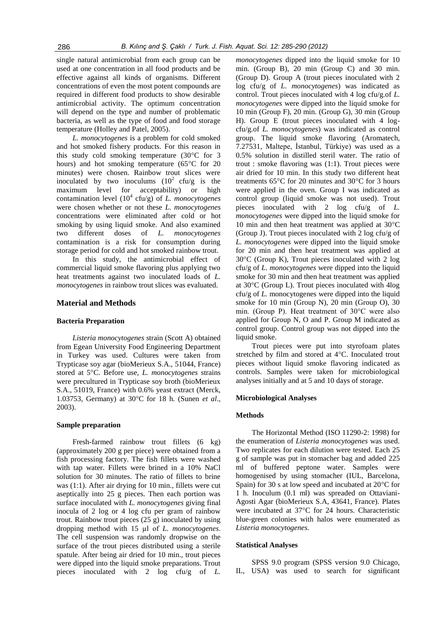single natural antimicrobial from each group can be used at one concentration in all food products and be effective against all kinds of organisms. Different concentrations of even the most potent compounds are required in different food products to show desirable antimicrobial activity. The optimum concentration will depend on the type and number of problematic bacteria, as well as the type of food and food storage temperature (Holley and Patel, 2005).

*L. monocytogenes* is a problem for cold smoked and hot smoked fishery products. For this reason in this study cold smoking temperature (30°C for 3 hours) and hot smoking temperature (65°C for 20 minutes) were chosen. Rainbow trout slices were inoculated by two inoculums  $(10^2 \text{ cftu/g} \text{ is the}$ maximum level for acceptability) or high contamination level (10<sup>4</sup> cfu/g) of *L. monocytogenes* were chosen whether or not these *L. monocytogenes* concentrations were eliminated after cold or hot smoking by using liquid smoke. And also examined two different doses of *L. monocytogenes*  contamination is a risk for consumption during storage period for cold and hot smoked rainbow trout.

In this study, the antimicrobial effect of commercial liquid smoke flavoring plus applying two heat treatments against two inoculated loads of *L. monocytogenes* in rainbow trout slices was evaluated.

## **Material and Methods**

## **Bacteria Preparation**

*Listeria monocytogenes* strain (Scott A) obtained from Egean University Food Engineering Department in Turkey was used. Cultures were taken from Trypticase soy agar (bioMerieux S.A., 51044, France) stored at 5°C. Before use, *L. monocytogenes* strains were precultured in Trypticase soy broth (bioMerieux S.A., 51019, France) with 0.6% yeast extract (Merck, 1.03753, Germany) at 30°C for 18 h. (Sunen *et al*., 2003).

## **Sample preparation**

Fresh-farmed rainbow trout fillets (6 kg) (approximately 200 g per piece) were obtained from a fish processing factory. The fish fillets were washed with tap water. Fillets were brined in a 10% NaCl solution for 30 minutes. The ratio of fillets to brine was (1:1). After air drying for 10 min., fillets were cut aseptically into 25 g pieces. Then each portion was surface inoculated with *L. monocytogenes* giving final inocula of 2 log or 4 log cfu per gram of rainbow trout. Rainbow trout pieces (25 g) inoculated by using dropping method with 15 µl of *L. monocytogenes*. The cell suspension was randomly dropwise on the surface of the trout pieces distributed using a sterile spatule. After being air dried for 10 min., trout pieces were dipped into the liquid smoke preparations. Trout pieces inoculated with 2 log cfu/g of *L.* 

*monocytogenes* dipped into the liquid smoke for 10 min. (Group B), 20 min (Group C) and 30 min. (Group D). Group A (trout pieces inoculated with 2 log cfu/g of *L. monocytogenes*) was indicated as control. Trout pieces inoculated with 4 log cfu/g.of *L. monocytogenes* were dipped into the liquid smoke for 10 min (Group F), 20 min. (Group G), 30 min (Group H). Group E (trout pieces inoculated with 4 logcfu/g.of *L. monocytogenes*) was indicated as control group. The liquid smoke flavoring (Aromatech, 7.27531, Maltepe, İstanbul, Türkiye) was used as a 0.5% solution in distilled steril water. The ratio of trout : smoke flavoring was (1:1). Trout pieces were air dried for 10 min. In this study two different heat treatments 65°C for 20 minutes and 30°C for 3 hours were applied in the oven. Group I was indicated as control group (liquid smoke was not used). Trout pieces inoculated with 2 log cfu/g of *L. monocytogenes* were dipped into the liquid smoke for 10 min and then heat treatment was applied at 30°C (Group J). Trout pieces inoculated with 2 log cfu/g of *L. monocytogenes* were dipped into the liquid smoke for 20 min and then heat treatment was applied at 30°C (Group K), Trout pieces inoculated with 2 log cfu/g of *L. monocytogenes* were dipped into the liquid smoke for 30 min and then heat treatment was applied at 30°C (Group L). Trout pieces inoculated with 4log cfu/g of *L.* monocytogenes were dipped into the liquid smoke for 10 min (Group N), 20 min (Group O), 30 min. (Group P). Heat treatment of 30°C were also applied for Group N, O and P. Group M indicated as control group. Control group was not dipped into the liquid smoke.

Trout pieces were put into styrofoam plates stretched by film and stored at 4°C. Inoculated trout pieces without liquid smoke flavoring indicated as controls. Samples were taken for microbiological analyses initially and at 5 and 10 days of storage.

## **Microbiological Analyses**

#### **Methods**

The Horizontal Method (ISO 11290-2: 1998) for the enumeration of *Listeria monocytogenes* was used. Two replicates for each dilution were tested. Each 25 g of sample was put in stomacher bag and added 225 ml of buffered peptone water. Samples were homogenised by using stomacher (IUL, Barcelona, Spain) for 30 s at low speed and incubated at 20°C for 1 h. Inoculum (0.1 ml) was spreaded on Ottaviani-Agosti Agar (bioMerieux S.A, 43641, France). Plates were incubated at 37°C for 24 hours. Characteristic blue-green colonies with halos were enumerated as *Listeria monocytogenes.*

#### **Statistical Analyses**

SPSS 9.0 program (SPSS version 9.0 Chicago, IL, USA) was used to search for significant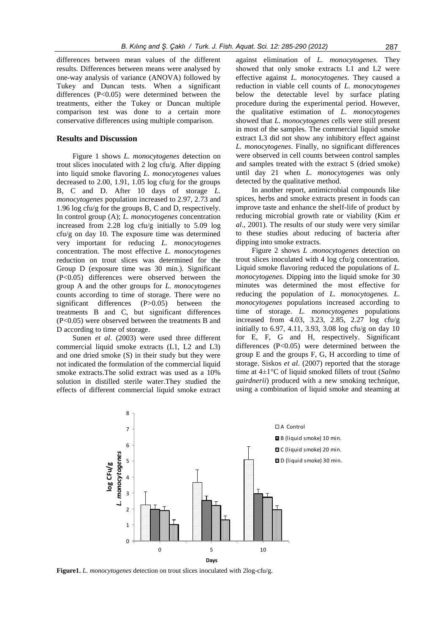differences between mean values of the different results. Differences between means were analysed by one-way analysis of variance (ANOVA) followed by Tukey and Duncan tests. When a significant differences (P<0.05) were determined between the treatments, either the Tukey or Duncan multiple comparison test was done to a certain more conservative differences using multiple comparison.

## **Results and Discussion**

Figure 1 shows *L. monocytogenes* detection on trout slices inoculated with 2 log cfu/g. After dipping into liquid smoke flavoring *L. monocytogenes* values decreased to 2.00, 1.91, 1.05 log cfu/g for the groups B, C and D. After 10 days of storage *L. monocytogenes* population increased to 2.97, 2.73 and 1.96 log cfu/g for the groups B, C and D, respectively. In control group (A); *L. monocytogenes* concentration increased from 2.28 log cfu/g initially to 5.09 log cfu/g on day 10. The exposure time was determined very important for reducing *L. monocytogenes* concentration. The most effective *L. monocytogenes* reduction on trout slices was determined for the Group D (exposure time was 30 min.). Significant (P<0.05) differences were observed between the group A and the other groups for *L. monocytogenes* counts according to time of storage. There were no significant differences (P>0.05) between the treatments B and C, but significant differences (P<0.05) were observed between the treatments B and D according to time of storage.

Sunen *et al*. (2003) were used three different commercial liquid smoke extracts (L1, L2 and L3) and one dried smoke (S) in their study but they were not indicated the formulation of the commercial liquid smoke extracts.The solid extract was used as a 10% solution in distilled sterile water.They studied the effects of different commercial liquid smoke extract

against elimination of *L. monocytogenes.* They showed that only smoke extracts L1 and L2 were effective against *L. monocytogenes*. They caused a reduction in viable cell counts of *L. monocytogenes* below the detectable level by surface plating procedure during the experimental period. However, the qualitative estimation of *L. monocytogenes* showed that *L. monocytogenes* cells were still present in most of the samples. The commercial liquid smoke extract L3 did not show any inhibitory effect against *L. monocytogenes*. Finally, no significant differences were observed in cell counts between control samples and samples treated with the extract S (dried smoke) until day 21 when *L. monocytogenes* was only detected by the qualitative method.

In another report, antimicrobial compounds like spices, herbs and smoke extracts present in foods can improve taste and enhance the shelf-life of product by reducing microbial growth rate or viability (Kim *et al*., 2001). The results of our study were very similar to these studies about reducing of bacteria after dipping into smoke extracts.

Figure 2 shows *L .monocytogenes* detection on trout slices inoculated with 4 log cfu/g concentration. Liquid smoke flavoring reduced the populations of *L. monocytogenes.* Dipping into the liquid smoke for 30 minutes was determined the most effective for reducing the population of *L. monocytogenes. L. monocytogenes* populations increased according to time of storage. *L. monocytogenes* populations increased from 4.03, 3.23, 2.85, 2.27 log cfu/g initially to 6.97, 4.11, 3.93, 3.08 log cfu/g on day 10 for E, F, G and H, respectively. Significant differences (P<0.05) were determined between the group E and the groups F, G, H according to time of storage. Siskos *et al*. (2007) reported that the storage time at 4±1°C of liquid smoked fillets of trout (*Salmo gairdnerii*) produced with a new smoking technique, using a combination of liquid smoke and steaming at



**Figure1.** *L. monocytogenes* detection on trout slices inoculated with 2log-cfu/g.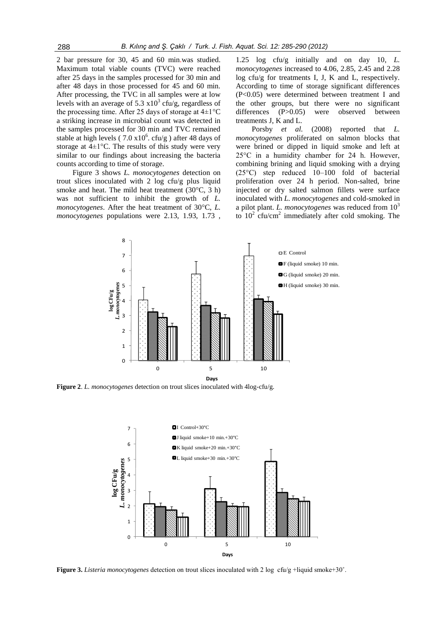2 bar pressure for 30, 45 and 60 min.was studied. Maximum total viable counts (TVC) were reached after 25 days in the samples processed for 30 min and after 48 days in those processed for 45 and 60 min. After processing, the TVC in all samples were at low levels with an average of 5.3  $x10^3$  cfu/g, regardless of the processing time. After 25 days of storage at  $4\pm1^{\circ}C$ a striking increase in microbial count was detected in the samples processed for 30 min and TVC remained stable at high levels ( $7.0 \times 10^6$ . cfu/g) after 48 days of storage at  $4\pm1$ °C. The results of this study were very similar to our findings about increasing the bacteria counts according to time of storage.

Figure 3 shows *L. monocytogenes* detection on trout slices inoculated with 2 log cfu/g plus liquid smoke and heat. The mild heat treatment (30°C, 3 h) was not sufficient to inhibit the growth of *L. monocytogenes*. After the heat treatment of 30°C, *L. monocytogenes* populations were 2.13, 1.93, 1.73 ,

1.25 log cfu/g initially and on day 10, *L. monocytogenes* increased to 4.06, 2.85, 2.45 and 2.28 log cfu/g for treatments I, J, K and L, respectively. According to time of storage significant differences (P<0.05) were determined between treatment I and the other groups, but there were no significant differences (P>0.05) were observed between treatments J, K and L.

Porsby *et al.* (2008) reported that *L. monocytogenes* proliferated on salmon blocks that were brined or dipped in liquid smoke and left at 25°C in a humidity chamber for 24 h. However, combining brining and liquid smoking with a drying (25°C) step reduced 10–100 fold of bacterial proliferation over 24 h period. Non-salted, brine injected or dry salted salmon fillets were surface inoculated with *L. monocytogenes* and cold-smoked in a pilot plant. *L. monocytogenes* was reduced from  $10<sup>3</sup>$ to  $10^2$  cfu/cm<sup>2</sup> immediately after cold smoking. The



**Figure 2**. *L. monocytogenes* detection on trout slices inoculated with 4log-cfu/g.



**Figure 3.** *Listeria monocytogenes* detection on trout slices inoculated with 2 log cfu/g +liquid smoke+30˚.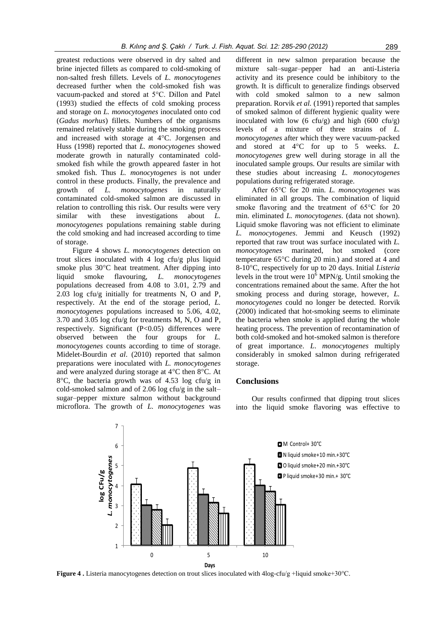greatest reductions were observed in dry salted and brine injected fillets as compared to cold-smoking of non-salted fresh fillets. Levels of *L. monocytogenes* decreased further when the cold-smoked fish was vacuum-packed and stored at 5°C. Dillon and Patel (1993) studied the effects of cold smoking process and storage on *L. monocytogenes* inoculated onto cod (*Gadus morhus*) fillets. Numbers of the organisms remained relatively stable during the smoking process and increased with storage at 4°C. Jorgensen and Huss (1998) reported that *L. monocytogenes* showed moderate growth in naturally contaminated coldsmoked fish while the growth appeared faster in hot smoked fish. Thus *L. monocytogenes* is not under control in these products. Finally, the prevalence and growth of *L. monocytogenes* in naturally contaminated cold-smoked salmon are discussed in relation to controlling this risk. Our results were very similar with these investigations about *L. monocytogenes* populations remaining stable during the cold smoking and had increased according to time of storage.

Figure 4 shows *L. monocytogenes* detection on trout slices inoculated with 4 log cfu/g plus liquid smoke plus 30°C heat treatment. After dipping into liquid smoke flavouring, *L. monocytogenes* populations decreased from 4.08 to 3.01, 2.79 and 2.03 log cfu/g initially for treatments N, O and P, respectively. At the end of the storage period, *L. monocytogenes* populations increased to 5.06, 4.02, 3.70 and 3.05 log cfu/g for treatments M, N, O and P, respectively. Significant (P<0.05) differences were observed between the four groups for *L. monocytogenes* counts according to time of storage. Midelet-Bourdin *et al*. (2010) reported that salmon preparations were inoculated with *L. monocytogenes* and were analyzed during storage at 4°C then 8°C. At 8°C, the bacteria growth was of 4.53 log cfu/g in cold-smoked salmon and of 2.06 log cfu/g in the salt– sugar–pepper mixture salmon without background microflora. The growth of *L. monocytogenes* was

different in new salmon preparation because the mixture salt–sugar–pepper had an anti-Listeria activity and its presence could be inhibitory to the growth. It is difficult to generalize findings observed with cold smoked salmon to a new salmon preparation. Rorvik *et al.* (1991) reported that samples of smoked salmon of different hygienic quality were inoculated with low  $(6 \text{ cftu/g})$  and high  $(600 \text{ cftu/g})$ levels of a mixture of three strains of *L. monocytogenes* after which they were vacuum-packed and stored at 4°C for up to 5 weeks. *L. monocytogenes* grew well during storage in all the inoculated sample groups. Our results are similar with these studies about increasing *L. monocytogenes* populations during refrigerated storage.

After 65°C for 20 min. *L. monocytogenes* was eliminated in all groups. The combination of liquid smoke flavoring and the treatment of 65°C for 20 min. eliminated *L. monocytogenes*. (data not shown). Liquid smoke flavoring was not efficient to eliminate *L. monocytogenes*. Jemmi and Keusch (1992) reported that raw trout was surface inoculated with *L. monocytogenes* marinated, hot smoked (core temperature 65°C during 20 min.) and stored at 4 and 8-10°C, respectively for up to 20 days. Initial *Listeria* levels in the trout were  $10^6$  MPN/g. Until smoking the concentrations remained about the same. After the hot smoking process and during storage, however, *L. monocytogenes* could no longer be detected. Rorvik (2000) indicated that hot-smoking seems to eliminate the bacteria when smoke is applied during the whole heating process. The prevention of recontamination of both cold-smoked and hot-smoked salmon is therefore of great importance. *L*. *monocytogenes* multiply considerably in smoked salmon during refrigerated storage.

## **Conclusions**

Our results confirmed that dipping trout slices into the liquid smoke flavoring was effective to



**Figure 4 .** Listeria manocytogenes detection on trout slices inoculated with 4log-cfu/g +liquid smoke+30°C.